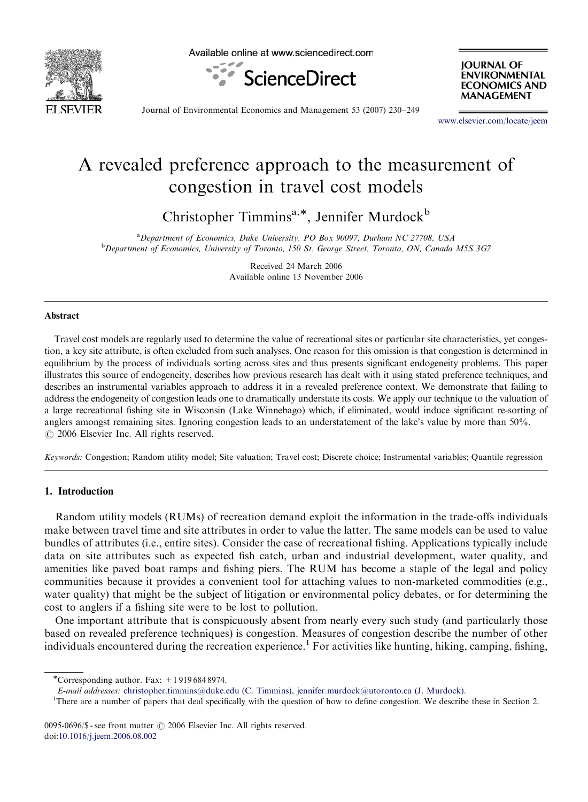

Available online at www.sciencedirect.com



**IOURNAL OF ENVIRONMENTAL ECONOMICS AND MANAGEMENT** 

Journal of Environmental Economics and Management 53 (2007) 230–249

<www.elsevier.com/locate/jeem>

# A revealed preference approach to the measurement of congestion in travel cost models

Christopher Timmins<sup>a,\*</sup>, Jennifer Murdock<sup>b</sup>

<sup>a</sup>Department of Economics, Duke University, PO Box 90097, Durham NC 27708, USA <sup>b</sup>Department of Economics, University of Toronto, 150 St. George Street, Toronto, ON, Canada M5S 3G7

> Received 24 March 2006 Available online 13 November 2006

## Abstract

Travel cost models are regularly used to determine the value of recreational sites or particular site characteristics, yet congestion, a key site attribute, is often excluded from such analyses. One reason for this omission is that congestion is determined in equilibrium by the process of individuals sorting across sites and thus presents significant endogeneity problems. This paper illustrates this source of endogeneity, describes how previous research has dealt with it using stated preference techniques, and describes an instrumental variables approach to address it in a revealed preference context. We demonstrate that failing to address the endogeneity of congestion leads one to dramatically understate its costs. We apply our technique to the valuation of a large recreational fishing site in Wisconsin (Lake Winnebago) which, if eliminated, would induce significant re-sorting of anglers amongst remaining sites. Ignoring congestion leads to an understatement of the lake's value by more than 50%.  $\odot$  2006 Elsevier Inc. All rights reserved.

Keywords: Congestion; Random utility model; Site valuation; Travel cost; Discrete choice; Instrumental variables; Quantile regression

## 1. Introduction

Random utility models (RUMs) of recreation demand exploit the information in the trade-offs individuals make between travel time and site attributes in order to value the latter. The same models can be used to value bundles of attributes (i.e., entire sites). Consider the case of recreational fishing. Applications typically include data on site attributes such as expected fish catch, urban and industrial development, water quality, and amenities like paved boat ramps and fishing piers. The RUM has become a staple of the legal and policy communities because it provides a convenient tool for attaching values to non-marketed commodities (e.g., water quality) that might be the subject of litigation or environmental policy debates, or for determining the cost to anglers if a fishing site were to be lost to pollution.

One important attribute that is conspicuously absent from nearly every such study (and particularly those based on revealed preference techniques) is congestion. Measures of congestion describe the number of other individuals encountered during the recreation experience.<sup>1</sup> For activities like hunting, hiking, camping, fishing,

0095-0696/\$ - see front matter  $\odot$  2006 Elsevier Inc. All rights reserved. doi[:10.1016/j.jeem.2006.08.002](dx.doi.org/10.1016/j.jeem.2006.08.002)

<sup>-</sup>Corresponding author. Fax: +1 919 684 8974.

E-mail addresses: [christopher.timmins@duke.edu \(C. Timmins\)](mailto:christopher.timmins@duke.edu), [jennifer.murdock@utoronto.ca \(J. Murdock\).](mailto:jennifer.murdock@utoronto.ca)

<sup>&</sup>lt;sup>1</sup>There are a number of papers that deal specifically with the question of how to define congestion. We describe these in Section 2.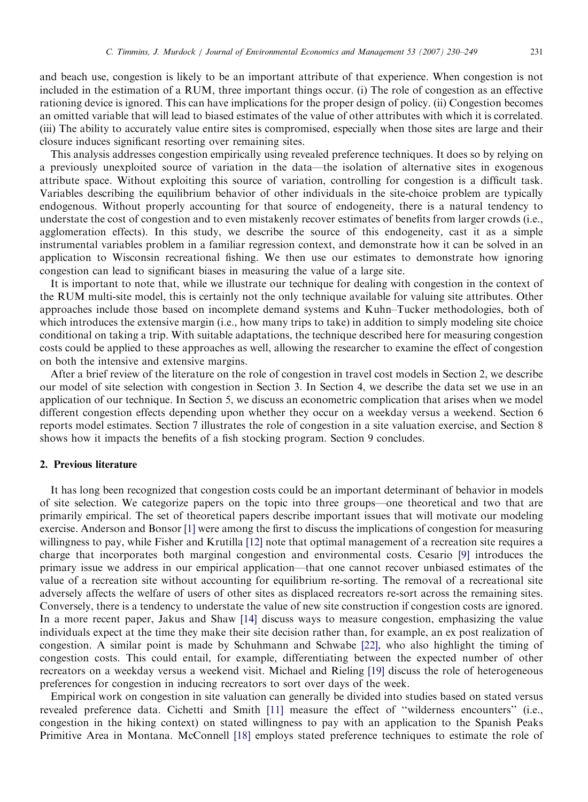and beach use, congestion is likely to be an important attribute of that experience. When congestion is not included in the estimation of a RUM, three important things occur. (i) The role of congestion as an effective rationing device is ignored. This can have implications for the proper design of policy. (ii) Congestion becomes an omitted variable that will lead to biased estimates of the value of other attributes with which it is correlated. (iii) The ability to accurately value entire sites is compromised, especially when those sites are large and their closure induces significant resorting over remaining sites.

This analysis addresses congestion empirically using revealed preference techniques. It does so by relying on a previously unexploited source of variation in the data—the isolation of alternative sites in exogenous attribute space. Without exploiting this source of variation, controlling for congestion is a difficult task. Variables describing the equilibrium behavior of other individuals in the site-choice problem are typically endogenous. Without properly accounting for that source of endogeneity, there is a natural tendency to understate the cost of congestion and to even mistakenly recover estimates of benefits from larger crowds (i.e., agglomeration effects). In this study, we describe the source of this endogeneity, cast it as a simple instrumental variables problem in a familiar regression context, and demonstrate how it can be solved in an application to Wisconsin recreational fishing. We then use our estimates to demonstrate how ignoring congestion can lead to significant biases in measuring the value of a large site.

It is important to note that, while we illustrate our technique for dealing with congestion in the context of the RUM multi-site model, this is certainly not the only technique available for valuing site attributes. Other approaches include those based on incomplete demand systems and Kuhn–Tucker methodologies, both of which introduces the extensive margin (i.e., how many trips to take) in addition to simply modeling site choice conditional on taking a trip. With suitable adaptations, the technique described here for measuring congestion costs could be applied to these approaches as well, allowing the researcher to examine the effect of congestion on both the intensive and extensive margins.

After a brief review of the literature on the role of congestion in travel cost models in Section 2, we describe our model of site selection with congestion in Section 3. In Section 4, we describe the data set we use in an application of our technique. In Section 5, we discuss an econometric complication that arises when we model different congestion effects depending upon whether they occur on a weekday versus a weekend. Section 6 reports model estimates. Section 7 illustrates the role of congestion in a site valuation exercise, and Section 8 shows how it impacts the benefits of a fish stocking program. Section 9 concludes.

# 2. Previous literature

It has long been recognized that congestion costs could be an important determinant of behavior in models of site selection. We categorize papers on the topic into three groups—one theoretical and two that are primarily empirical. The set of theoretical papers describe important issues that will motivate our modeling exercise. Anderson and Bonsor [\[1\]](#page-18-0) were among the first to discuss the implications of congestion for measuring willingness to pay, while Fisher and Krutilla [\[12\]](#page-18-0) note that optimal management of a recreation site requires a charge that incorporates both marginal congestion and environmental costs. Cesario [\[9\]](#page-18-0) introduces the primary issue we address in our empirical application—that one cannot recover unbiased estimates of the value of a recreation site without accounting for equilibrium re-sorting. The removal of a recreational site adversely affects the welfare of users of other sites as displaced recreators re-sort across the remaining sites. Conversely, there is a tendency to understate the value of new site construction if congestion costs are ignored. In a more recent paper, Jakus and Shaw [\[14\]](#page-19-0) discuss ways to measure congestion, emphasizing the value individuals expect at the time they make their site decision rather than, for example, an ex post realization of congestion. A similar point is made by Schuhmann and Schwabe [\[22\]](#page-19-0), who also highlight the timing of congestion costs. This could entail, for example, differentiating between the expected number of other recreators on a weekday versus a weekend visit. Michael and Rieling [\[19\]](#page-19-0) discuss the role of heterogeneous preferences for congestion in inducing recreators to sort over days of the week.

Empirical work on congestion in site valuation can generally be divided into studies based on stated versus revealed preference data. Cichetti and Smith [\[11\]](#page-18-0) measure the effect of ''wilderness encounters'' (i.e., congestion in the hiking context) on stated willingness to pay with an application to the Spanish Peaks Primitive Area in Montana. McConnell [\[18\]](#page-19-0) employs stated preference techniques to estimate the role of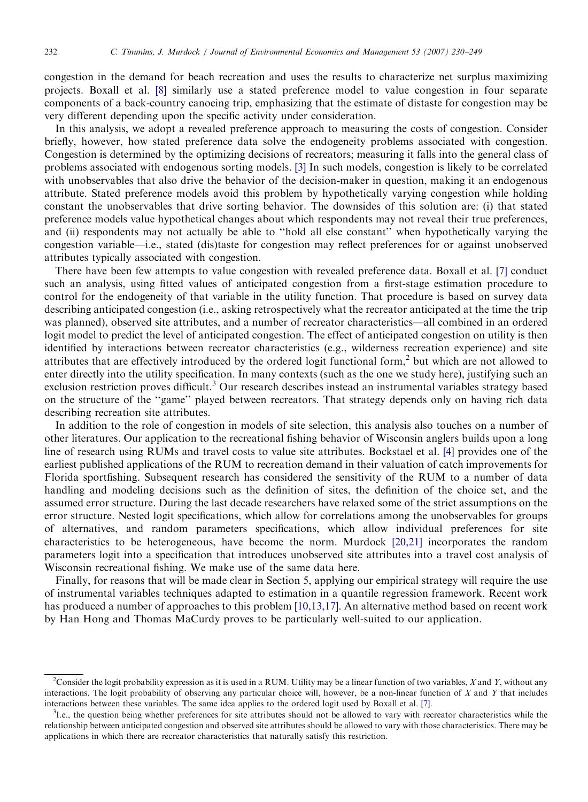congestion in the demand for beach recreation and uses the results to characterize net surplus maximizing projects. Boxall et al. [\[8\]](#page-18-0) similarly use a stated preference model to value congestion in four separate components of a back-country canoeing trip, emphasizing that the estimate of distaste for congestion may be very different depending upon the specific activity under consideration.

In this analysis, we adopt a revealed preference approach to measuring the costs of congestion. Consider briefly, however, how stated preference data solve the endogeneity problems associated with congestion. Congestion is determined by the optimizing decisions of recreators; measuring it falls into the general class of problems associated with endogenous sorting models. [\[3\]](#page-18-0) In such models, congestion is likely to be correlated with unobservables that also drive the behavior of the decision-maker in question, making it an endogenous attribute. Stated preference models avoid this problem by hypothetically varying congestion while holding constant the unobservables that drive sorting behavior. The downsides of this solution are: (i) that stated preference models value hypothetical changes about which respondents may not reveal their true preferences, and (ii) respondents may not actually be able to ''hold all else constant'' when hypothetically varying the congestion variable—i.e., stated (dis)taste for congestion may reflect preferences for or against unobserved attributes typically associated with congestion.

There have been few attempts to value congestion with revealed preference data. Boxall et al. [\[7\]](#page-18-0) conduct such an analysis, using fitted values of anticipated congestion from a first-stage estimation procedure to control for the endogeneity of that variable in the utility function. That procedure is based on survey data describing anticipated congestion (i.e., asking retrospectively what the recreator anticipated at the time the trip was planned), observed site attributes, and a number of recreator characteristics—all combined in an ordered logit model to predict the level of anticipated congestion. The effect of anticipated congestion on utility is then identified by interactions between recreator characteristics (e.g., wilderness recreation experience) and site attributes that are effectively introduced by the ordered logit functional form,<sup>2</sup> but which are not allowed to enter directly into the utility specification. In many contexts (such as the one we study here), justifying such an exclusion restriction proves difficult.<sup>3</sup> Our research describes instead an instrumental variables strategy based on the structure of the ''game'' played between recreators. That strategy depends only on having rich data describing recreation site attributes.

In addition to the role of congestion in models of site selection, this analysis also touches on a number of other literatures. Our application to the recreational fishing behavior of Wisconsin anglers builds upon a long line of research using RUMs and travel costs to value site attributes. Bockstael et al. [\[4\]](#page-18-0) provides one of the earliest published applications of the RUM to recreation demand in their valuation of catch improvements for Florida sportfishing. Subsequent research has considered the sensitivity of the RUM to a number of data handling and modeling decisions such as the definition of sites, the definition of the choice set, and the assumed error structure. During the last decade researchers have relaxed some of the strict assumptions on the error structure. Nested logit specifications, which allow for correlations among the unobservables for groups of alternatives, and random parameters specifications, which allow individual preferences for site characteristics to be heterogeneous, have become the norm. Murdock [\[20,21\]](#page-19-0) incorporates the random parameters logit into a specification that introduces unobserved site attributes into a travel cost analysis of Wisconsin recreational fishing. We make use of the same data here.

Finally, for reasons that will be made clear in Section 5, applying our empirical strategy will require the use of instrumental variables techniques adapted to estimation in a quantile regression framework. Recent work has produced a number of approaches to this problem [\[10,13,17\].](#page-18-0) An alternative method based on recent work by Han Hong and Thomas MaCurdy proves to be particularly well-suited to our application.

<sup>&</sup>lt;sup>2</sup> Consider the logit probability expression as it is used in a RUM. Utility may be a linear function of two variables, X and Y, without any interactions. The logit probability of observing any particular choice will, however, be a non-linear function of  $X$  and  $Y$  that includes interactions between these variables. The same idea applies to the ordered logit used by Boxall et al. [\[7\]](#page-18-0).

<sup>&</sup>lt;sup>3</sup>I.e., the question being whether preferences for site attributes should not be allowed to vary with recreator characteristics while the relationship between anticipated congestion and observed site attributes should be allowed to vary with those characteristics. There may be applications in which there are recreator characteristics that naturally satisfy this restriction.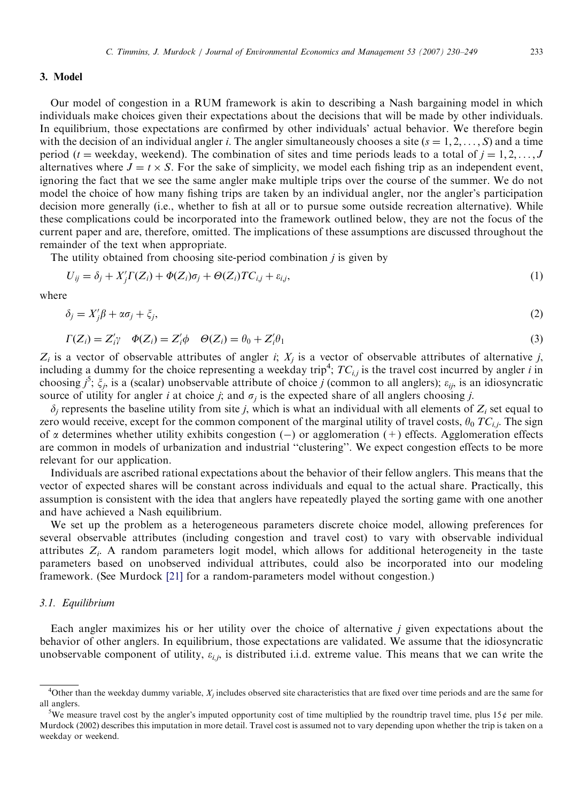# 3. Model

Our model of congestion in a RUM framework is akin to describing a Nash bargaining model in which individuals make choices given their expectations about the decisions that will be made by other individuals. In equilibrium, those expectations are confirmed by other individuals' actual behavior. We therefore begin with the decision of an individual angler *i*. The angler simultaneously chooses a site  $(s = 1, 2, \ldots, S)$  and a time period (t = weekday, weekend). The combination of sites and time periods leads to a total of  $j = 1, 2, ..., J$ alternatives where  $J = t \times S$ . For the sake of simplicity, we model each fishing trip as an independent event, ignoring the fact that we see the same angler make multiple trips over the course of the summer. We do not model the choice of how many fishing trips are taken by an individual angler, nor the angler's participation decision more generally (i.e., whether to fish at all or to pursue some outside recreation alternative). While these complications could be incorporated into the framework outlined below, they are not the focus of the current paper and are, therefore, omitted. The implications of these assumptions are discussed throughout the remainder of the text when appropriate.

The utility obtained from choosing site-period combination  $j$  is given by

$$
U_{ij} = \delta_j + X'_j \Gamma(Z_i) + \Phi(Z_i)\sigma_j + \Theta(Z_i)T C_{i,j} + \varepsilon_{i,j},\tag{1}
$$

where

$$
\delta_j = X'_j \beta + \alpha \sigma_j + \xi_j,\tag{2}
$$

$$
\Gamma(Z_i) = Z'_i \gamma \quad \Phi(Z_i) = Z'_i \phi \quad \Theta(Z_i) = \theta_0 + Z'_i \theta_1 \tag{3}
$$

 $Z_i$  is a vector of observable attributes of angler *i*;  $X_j$  is a vector of observable attributes of alternative *j*, including a dummy for the choice representing a weekday trip<sup>4</sup>;  $TC_{i,j}$  is the travel cost incurred by angler *i* in choosing  $j^5$ ;  $\xi_j$ , is a (scalar) unobservable attribute of choice j (common to all anglers);  $\varepsilon_{ij}$ , is an idiosyncratic source of utility for angler *i* at choice *j*; and  $\sigma_j$  is the expected share of all anglers choosing *j*.

 $\delta_i$  represents the baseline utility from site j, which is what an individual with all elements of  $Z_i$  set equal to zero would receive, except for the common component of the marginal utility of travel costs,  $\theta_0$  TC<sub>i</sub>,. The sign of  $\alpha$  determines whether utility exhibits congestion (–) or agglomeration (+) effects. Agglomeration effects are common in models of urbanization and industrial ''clustering''. We expect congestion effects to be more relevant for our application.

Individuals are ascribed rational expectations about the behavior of their fellow anglers. This means that the vector of expected shares will be constant across individuals and equal to the actual share. Practically, this assumption is consistent with the idea that anglers have repeatedly played the sorting game with one another and have achieved a Nash equilibrium.

We set up the problem as a heterogeneous parameters discrete choice model, allowing preferences for several observable attributes (including congestion and travel cost) to vary with observable individual attributes  $Z_i$ . A random parameters logit model, which allows for additional heterogeneity in the taste parameters based on unobserved individual attributes, could also be incorporated into our modeling framework. (See Murdock [\[21\]](#page-19-0) for a random-parameters model without congestion.)

# 3.1. Equilibrium

Each angler maximizes his or her utility over the choice of alternative  $j$  given expectations about the behavior of other anglers. In equilibrium, those expectations are validated. We assume that the idiosyncratic unobservable component of utility,  $\varepsilon_{i,j}$ , is distributed i.i.d. extreme value. This means that we can write the

<sup>&</sup>lt;sup>4</sup>Other than the weekday dummy variable,  $X_j$  includes observed site characteristics that are fixed over time periods and are the same for all anglers.

<sup>&</sup>lt;sup>5</sup>We measure travel cost by the angler's imputed opportunity cost of time multiplied by the roundtrip travel time, plus 15 $\phi$  per mile. Murdock (2002) describes this imputation in more detail. Travel cost is assumed not to vary depending upon whether the trip is taken on a weekday or weekend.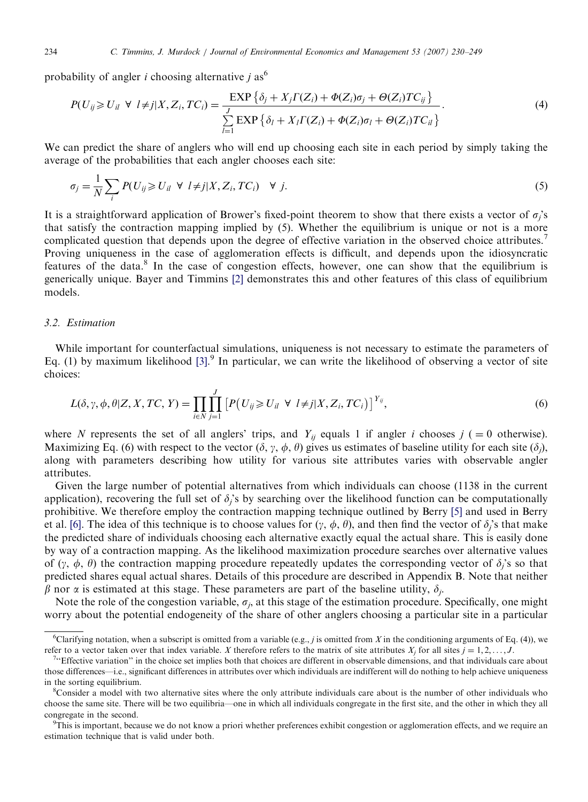probability of angler *i* choosing alternative *j* as<sup>6</sup>

$$
P(U_{ij} \geq U_{il} \ \forall \ l \neq j | X, Z_i, TC_i) = \frac{\text{EXP}\left\{\delta_j + X_j \Gamma(Z_i) + \Phi(Z_i)\sigma_j + \Theta(Z_i)TC_{ij}\right\}}{\sum_{l=1}^J \text{EXP}\left\{\delta_l + X_l \Gamma(Z_i) + \Phi(Z_i)\sigma_l + \Theta(Z_i)TC_{il}\right\}}.
$$
\n(4)

We can predict the share of anglers who will end up choosing each site in each period by simply taking the average of the probabilities that each angler chooses each site:

$$
\sigma_j = \frac{1}{N} \sum_i P(U_{ij} \ge U_{il} \ \forall \ l \ne j | X, Z_i, TC_i) \ \forall j.
$$
\n<sup>(5)</sup>

It is a straightforward application of Brower's fixed-point theorem to show that there exists a vector of  $\sigma_i$ 's that satisfy the contraction mapping implied by (5). Whether the equilibrium is unique or not is a more complicated question that depends upon the degree of effective variation in the observed choice attributes.<sup>7</sup> Proving uniqueness in the case of agglomeration effects is difficult, and depends upon the idiosyncratic features of the data.<sup>8</sup> In the case of congestion effects, however, one can show that the equilibrium is generically unique. Bayer and Timmins [\[2\]](#page-18-0) demonstrates this and other features of this class of equilibrium models.

# 3.2. Estimation

While important for counterfactual simulations, uniqueness is not necessary to estimate the parameters of Eq. (1) by maximum likelihood [\[3\]](#page-18-0).<sup>9</sup> In particular, we can write the likelihood of observing a vector of site choices:

$$
L(\delta, \gamma, \phi, \theta | Z, X, TC, Y) = \prod_{i \in N} \prod_{j=1}^{J} \left[ P(U_{ij} \ge U_{il} \ \forall \ l \ne j | X, Z_i, TC_i) \right]^{Y_{ij}},\tag{6}
$$

where N represents the set of all anglers' trips, and  $Y_{ij}$  equals 1 if angler i chooses  $j$  ( = 0 otherwise). Maximizing Eq. (6) with respect to the vector  $(\delta, \gamma, \phi, \theta)$  gives us estimates of baseline utility for each site  $(\delta_i)$ , along with parameters describing how utility for various site attributes varies with observable angler attributes.

Given the large number of potential alternatives from which individuals can choose (1138 in the current application), recovering the full set of  $\delta_i$ 's by searching over the likelihood function can be computationally prohibitive. We therefore employ the contraction mapping technique outlined by Berry [\[5\]](#page-18-0) and used in Berry et al. [\[6\]](#page-18-0). The idea of this technique is to choose values for  $(\gamma, \phi, \theta)$ , and then find the vector of  $\delta_i$ 's that make the predicted share of individuals choosing each alternative exactly equal the actual share. This is easily done by way of a contraction mapping. As the likelihood maximization procedure searches over alternative values of  $(y, \phi, \theta)$  the contraction mapping procedure repeatedly updates the corresponding vector of  $\delta_i$ 's so that predicted shares equal actual shares. Details of this procedure are described in Appendix B. Note that neither  $\beta$  nor  $\alpha$  is estimated at this stage. These parameters are part of the baseline utility,  $\delta_i$ .

Note the role of the congestion variable,  $\sigma_i$ , at this stage of the estimation procedure. Specifically, one might worry about the potential endogeneity of the share of other anglers choosing a particular site in a particular

<sup>&</sup>lt;sup>6</sup>Clarifying notation, when a subscript is omitted from a variable (e.g., *j* is omitted from X in the conditioning arguments of Eq. (4)), we refer to a vector taken over that index variable. X therefore refers to the matrix of site attributes  $X_i$  for all sites  $j = 1, 2, \ldots, J$ .

<sup>&</sup>lt;sup>7.</sup> Effective variation'' in the choice set implies both that choices are different in observable dimensions, and that individuals care about those differences—i.e., significant differences in attributes over which individuals are indifferent will do nothing to help achieve uniqueness in the sorting equilibrium.

<sup>&</sup>lt;sup>8</sup>Consider a model with two alternative sites where the only attribute individuals care about is the number of other individuals who choose the same site. There will be two equilibria—one in which all individuals congregate in the first site, and the other in which they all congregate in the second.

 $^9$ This is important, because we do not know a priori whether preferences exhibit congestion or agglomeration effects, and we require an estimation technique that is valid under both.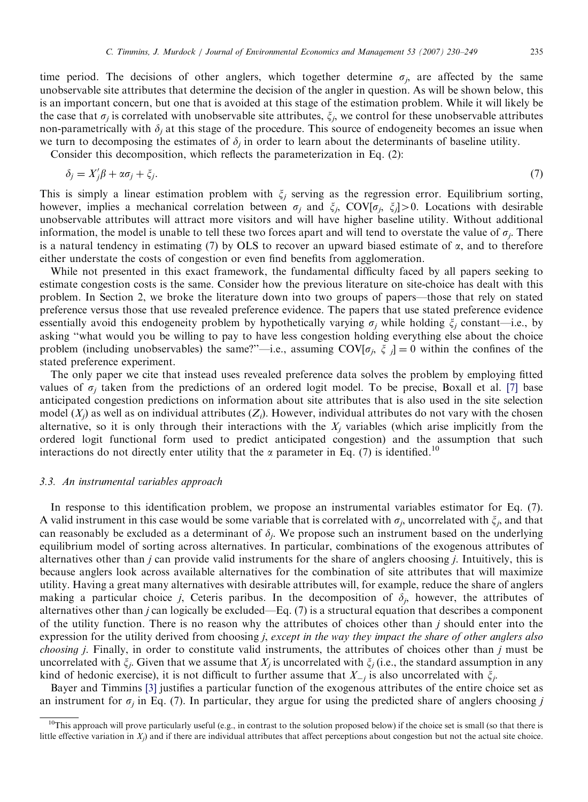time period. The decisions of other anglers, which together determine  $\sigma_i$ , are affected by the same unobservable site attributes that determine the decision of the angler in question. As will be shown below, this is an important concern, but one that is avoided at this stage of the estimation problem. While it will likely be the case that  $\sigma_i$  is correlated with unobservable site attributes,  $\xi_i$ , we control for these unobservable attributes non-parametrically with  $\delta_i$  at this stage of the procedure. This source of endogeneity becomes an issue when we turn to decomposing the estimates of  $\delta_i$  in order to learn about the determinants of baseline utility.

Consider this decomposition, which reflects the parameterization in Eq. (2):

$$
\delta_j = X'_j \beta + \alpha \sigma_j + \xi_j. \tag{7}
$$

This is simply a linear estimation problem with  $\xi_i$  serving as the regression error. Equilibrium sorting, however, implies a mechanical correlation between  $\sigma_i$  and  $\xi_i$ , COV[ $\sigma_i$ ,  $\xi_i$ ] > 0. Locations with desirable unobservable attributes will attract more visitors and will have higher baseline utility. Without additional information, the model is unable to tell these two forces apart and will tend to overstate the value of  $\sigma_i$ . There is a natural tendency in estimating (7) by OLS to recover an upward biased estimate of  $\alpha$ , and to therefore either understate the costs of congestion or even find benefits from agglomeration.

While not presented in this exact framework, the fundamental difficulty faced by all papers seeking to estimate congestion costs is the same. Consider how the previous literature on site-choice has dealt with this problem. In Section 2, we broke the literature down into two groups of papers—those that rely on stated preference versus those that use revealed preference evidence. The papers that use stated preference evidence essentially avoid this endogeneity problem by hypothetically varying  $\sigma_i$  while holding  $\xi_i$  constant—i.e., by asking ''what would you be willing to pay to have less congestion holding everything else about the choice problem (including unobservables) the same?"—i.e., assuming  $COV[\sigma_i, \xi_i] = 0$  within the confines of the stated preference experiment.

The only paper we cite that instead uses revealed preference data solves the problem by employing fitted values of  $\sigma_i$  taken from the predictions of an ordered logit model. To be precise, Boxall et al. [\[7\]](#page-18-0) base anticipated congestion predictions on information about site attributes that is also used in the site selection model  $(X_i)$  as well as on individual attributes  $(Z_i)$ . However, individual attributes do not vary with the chosen alternative, so it is only through their interactions with the  $X_i$  variables (which arise implicitly from the ordered logit functional form used to predict anticipated congestion) and the assumption that such interactions do not directly enter utility that the  $\alpha$  parameter in Eq. (7) is identified.<sup>10</sup>

### 3.3. An instrumental variables approach

In response to this identification problem, we propose an instrumental variables estimator for Eq. (7). A valid instrument in this case would be some variable that is correlated with  $\sigma_i$ , uncorrelated with  $\xi_i$ , and that can reasonably be excluded as a determinant of  $\delta_j$ . We propose such an instrument based on the underlying equilibrium model of sorting across alternatives. In particular, combinations of the exogenous attributes of alternatives other than j can provide valid instruments for the share of anglers choosing j. Intuitively, this is because anglers look across available alternatives for the combination of site attributes that will maximize utility. Having a great many alternatives with desirable attributes will, for example, reduce the share of anglers making a particular choice j, Ceteris paribus. In the decomposition of  $\delta_i$ , however, the attributes of alternatives other than j can logically be excluded—Eq. (7) is a structural equation that describes a component of the utility function. There is no reason why the attributes of choices other than j should enter into the expression for the utility derived from choosing *j, except in the way they impact the share of other anglers also* choosing j. Finally, in order to constitute valid instruments, the attributes of choices other than j must be uncorrelated with  $\xi_i$ . Given that we assume that  $X_i$  is uncorrelated with  $\xi_i$  (i.e., the standard assumption in any kind of hedonic exercise), it is not difficult to further assume that  $X_{-i}$  is also uncorrelated with  $\xi_i$ .

Bayer and Timmins [\[3\]](#page-18-0) justifies a particular function of the exogenous attributes of the entire choice set as an instrument for  $\sigma_i$  in Eq. (7). In particular, they argue for using the predicted share of anglers choosing j

 $10$ This approach will prove particularly useful (e.g., in contrast to the solution proposed below) if the choice set is small (so that there is little effective variation in  $X_i$ ) and if there are individual attributes that affect perceptions about congestion but not the actual site choice.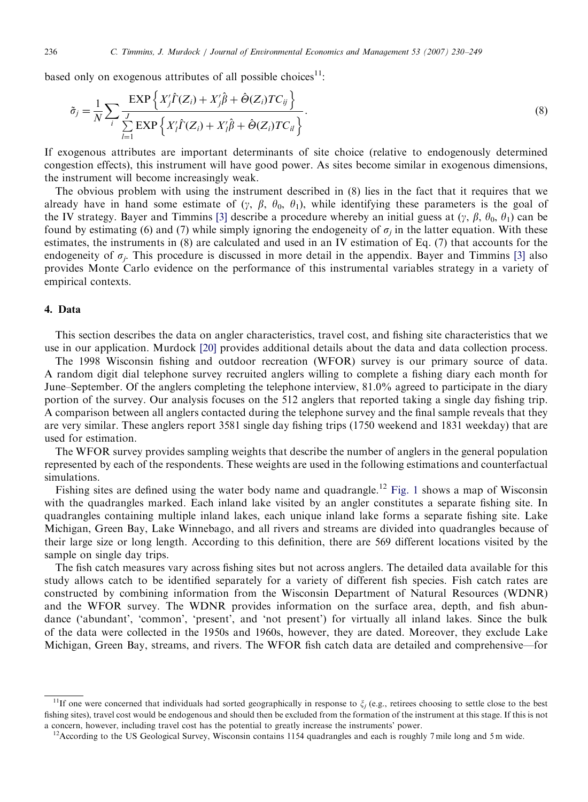based only on exogenous attributes of all possible choices<sup>11</sup>:

$$
\tilde{\sigma}_j = \frac{1}{N} \sum_i \frac{\text{EXP}\left\{X'_j \hat{\Gamma}(Z_i) + X'_j \hat{\beta} + \hat{\Theta}(Z_i) T C_{ij}\right\}}{\sum_{l=1}^J \text{EXP}\left\{X'_l \hat{\Gamma}(Z_i) + X'_l \hat{\beta} + \hat{\Theta}(Z_i) T C_{il}\right\}}.
$$
\n(8)

If exogenous attributes are important determinants of site choice (relative to endogenously determined congestion effects), this instrument will have good power. As sites become similar in exogenous dimensions, the instrument will become increasingly weak.

The obvious problem with using the instrument described in (8) lies in the fact that it requires that we already have in hand some estimate of  $(y, \beta, \theta_0, \theta_1)$ , while identifying these parameters is the goal of the IV strategy. Bayer and Timmins [\[3\]](#page-18-0) describe a procedure whereby an initial guess at  $(\gamma, \beta, \theta_0, \theta_1)$  can be found by estimating (6) and (7) while simply ignoring the endogeneity of  $\sigma_i$  in the latter equation. With these estimates, the instruments in (8) are calculated and used in an IV estimation of Eq. (7) that accounts for the endogeneity of  $\sigma_i$ . This procedure is discussed in more detail in the appendix. Bayer and Timmins [\[3\]](#page-18-0) also provides Monte Carlo evidence on the performance of this instrumental variables strategy in a variety of empirical contexts.

# 4. Data

This section describes the data on angler characteristics, travel cost, and fishing site characteristics that we use in our application. Murdock [\[20\]](#page-19-0) provides additional details about the data and data collection process.

The 1998 Wisconsin fishing and outdoor recreation (WFOR) survey is our primary source of data. A random digit dial telephone survey recruited anglers willing to complete a fishing diary each month for June–September. Of the anglers completing the telephone interview, 81.0% agreed to participate in the diary portion of the survey. Our analysis focuses on the 512 anglers that reported taking a single day fishing trip. A comparison between all anglers contacted during the telephone survey and the final sample reveals that they are very similar. These anglers report 3581 single day fishing trips (1750 weekend and 1831 weekday) that are used for estimation.

The WFOR survey provides sampling weights that describe the number of anglers in the general population represented by each of the respondents. These weights are used in the following estimations and counterfactual simulations.

Fishing sites are defined using the water body name and quadrangle.<sup>12</sup> [Fig. 1](#page-7-0) shows a map of Wisconsin with the quadrangles marked. Each inland lake visited by an angler constitutes a separate fishing site. In quadrangles containing multiple inland lakes, each unique inland lake forms a separate fishing site. Lake Michigan, Green Bay, Lake Winnebago, and all rivers and streams are divided into quadrangles because of their large size or long length. According to this definition, there are 569 different locations visited by the sample on single day trips.

The fish catch measures vary across fishing sites but not across anglers. The detailed data available for this study allows catch to be identified separately for a variety of different fish species. Fish catch rates are constructed by combining information from the Wisconsin Department of Natural Resources (WDNR) and the WFOR survey. The WDNR provides information on the surface area, depth, and fish abundance ('abundant', 'common', 'present', and 'not present') for virtually all inland lakes. Since the bulk of the data were collected in the 1950s and 1960s, however, they are dated. Moreover, they exclude Lake Michigan, Green Bay, streams, and rivers. The WFOR fish catch data are detailed and comprehensive—for

<sup>&</sup>lt;sup>11</sup>If one were concerned that individuals had sorted geographically in response to  $\xi_i$  (e.g., retirees choosing to settle close to the best fishing sites), travel cost would be endogenous and should then be excluded from the formation of the instrument at this stage. If this is not a concern, however, including travel cost has the potential to greatly increase the instruments' power.<br><sup>12</sup>According to the US Geological Survey, Wisconsin contains 1154 quadrangles and each is roughly 7 mile long and 5 m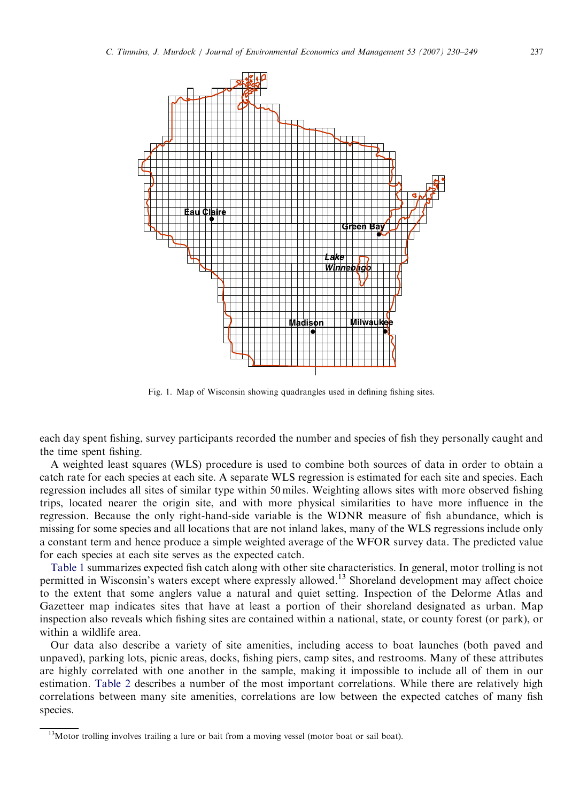<span id="page-7-0"></span>

Fig. 1. Map of Wisconsin showing quadrangles used in defining fishing sites.

each day spent fishing, survey participants recorded the number and species of fish they personally caught and the time spent fishing.

A weighted least squares (WLS) procedure is used to combine both sources of data in order to obtain a catch rate for each species at each site. A separate WLS regression is estimated for each site and species. Each regression includes all sites of similar type within 50 miles. Weighting allows sites with more observed fishing trips, located nearer the origin site, and with more physical similarities to have more influence in the regression. Because the only right-hand-side variable is the WDNR measure of fish abundance, which is missing for some species and all locations that are not inland lakes, many of the WLS regressions include only a constant term and hence produce a simple weighted average of the WFOR survey data. The predicted value for each species at each site serves as the expected catch.

[Table 1](#page-8-0) summarizes expected fish catch along with other site characteristics. In general, motor trolling is not permitted in Wisconsin's waters except where expressly allowed.13 Shoreland development may affect choice to the extent that some anglers value a natural and quiet setting. Inspection of the Delorme Atlas and Gazetteer map indicates sites that have at least a portion of their shoreland designated as urban. Map inspection also reveals which fishing sites are contained within a national, state, or county forest (or park), or within a wildlife area.

Our data also describe a variety of site amenities, including access to boat launches (both paved and unpaved), parking lots, picnic areas, docks, fishing piers, camp sites, and restrooms. Many of these attributes are highly correlated with one another in the sample, making it impossible to include all of them in our estimation. [Table 2](#page-9-0) describes a number of the most important correlations. While there are relatively high correlations between many site amenities, correlations are low between the expected catches of many fish species.

<sup>&</sup>lt;sup>13</sup>Motor trolling involves trailing a lure or bait from a moving vessel (motor boat or sail boat).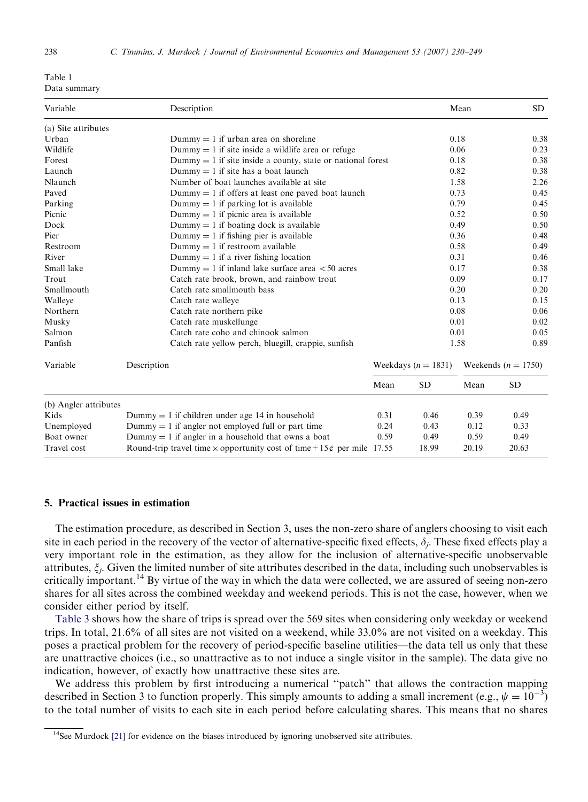<span id="page-8-0"></span>

| Table 1 |              |
|---------|--------------|
|         | Data summary |

| Variable              | Description                                                                   |      |                       |       | SD.                     |
|-----------------------|-------------------------------------------------------------------------------|------|-----------------------|-------|-------------------------|
| (a) Site attributes   |                                                                               |      |                       |       |                         |
| Urban                 | Dummy $= 1$ if urban area on shoreline                                        |      |                       | 0.18  | 0.38                    |
| Wildlife              | $Dummy = 1$ if site inside a wildlife area or refuge                          |      |                       | 0.06  | 0.23                    |
| Forest                | $Dummy = 1$ if site inside a county, state or national forest                 |      |                       | 0.18  | 0.38                    |
| Launch                | Dummy $= 1$ if site has a boat launch                                         |      |                       | 0.82  | 0.38                    |
| Nlaunch               | Number of boat launches available at site                                     |      |                       | 1.58  | 2.26                    |
| Paved                 | $Dummy = 1$ if offers at least one paved boat launch                          |      |                       | 0.73  | 0.45                    |
| Parking               | Dummy $= 1$ if parking lot is available                                       |      |                       | 0.79  | 0.45                    |
| Picnic                | $Dummy = 1$ if picnic area is available                                       |      |                       | 0.52  | 0.50                    |
| Dock                  | $Dummy = 1$ if boating dock is available                                      |      |                       | 0.49  | 0.50                    |
| Pier                  | $Dummy = 1$ if fishing pier is available                                      |      |                       | 0.36  | 0.48                    |
| Restroom              | $Dummy = 1$ if restroom available                                             |      |                       | 0.58  | 0.49                    |
| River                 | $Dummy = 1$ if a river fishing location                                       |      | 0.31                  |       | 0.46                    |
| Small lake            | Dummy = 1 if inland lake surface area $\lt$ 50 acres                          |      | 0.17                  |       | 0.38                    |
| Trout                 | Catch rate brook, brown, and rainbow trout                                    |      |                       | 0.09  | 0.17                    |
| Smallmouth            | Catch rate smallmouth bass                                                    |      |                       | 0.20  | 0.20                    |
| Walleye               | Catch rate walleye                                                            |      |                       | 0.13  | 0.15                    |
| Northern              | Catch rate northern pike                                                      |      | 0.08                  |       | 0.06                    |
| Musky                 | Catch rate muskellunge                                                        | 0.01 |                       | 0.02  |                         |
| Salmon                | Catch rate coho and chinook salmon                                            |      |                       | 0.01  | 0.05                    |
| Panfish               | Catch rate yellow perch, bluegill, crappie, sunfish                           |      |                       | 1.58  | 0.89                    |
| Variable              | Description                                                                   |      | Weekdays $(n = 1831)$ |       | Weekends ( $n = 1750$ ) |
|                       |                                                                               | Mean | <b>SD</b>             | Mean  | <b>SD</b>               |
| (b) Angler attributes |                                                                               |      |                       |       |                         |
| Kids                  | Dummy $= 1$ if children under age 14 in household                             | 0.31 | 0.46                  | 0.39  | 0.49                    |
| Unemployed            | $Dummy = 1$ if angler not employed full or part time                          |      | 0.43                  | 0.12  | 0.33                    |
| Boat owner            | Dummy $= 1$ if angler in a household that owns a boat                         | 0.59 | 0.49                  | 0.59  | 0.49                    |
| Travel cost           | Round-trip travel time $\times$ opportunity cost of time + 15¢ per mile 17.55 |      | 18.99                 | 20.19 | 20.63                   |

## 5. Practical issues in estimation

The estimation procedure, as described in Section 3, uses the non-zero share of anglers choosing to visit each site in each period in the recovery of the vector of alternative-specific fixed effects,  $\delta_i$ . These fixed effects play a very important role in the estimation, as they allow for the inclusion of alternative-specific unobservable attributes,  $\xi_i$ . Given the limited number of site attributes described in the data, including such unobservables is critically important.<sup>14</sup> By virtue of the way in which the data were collected, we are assured of seeing non-zero shares for all sites across the combined weekday and weekend periods. This is not the case, however, when we consider either period by itself.

[Table 3](#page-10-0) shows how the share of trips is spread over the 569 sites when considering only weekday or weekend trips. In total, 21.6% of all sites are not visited on a weekend, while 33.0% are not visited on a weekday. This poses a practical problem for the recovery of period-specific baseline utilities—the data tell us only that these are unattractive choices (i.e., so unattractive as to not induce a single visitor in the sample). The data give no indication, however, of exactly how unattractive these sites are.

We address this problem by first introducing a numerical ''patch'' that allows the contraction mapping described in Section 3 to function properly. This simply amounts to adding a small increment (e.g.,  $\psi = 10^{-3}$ ) to the total number of visits to each site in each period before calculating shares. This means that no shares

<sup>&</sup>lt;sup>14</sup>See Murdock [\[21\]](#page-19-0) for evidence on the biases introduced by ignoring unobserved site attributes.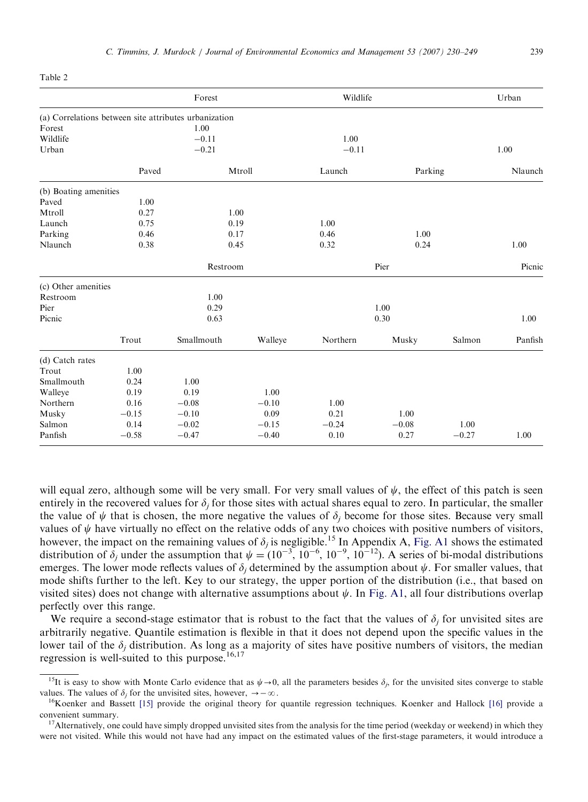<span id="page-9-0"></span>Table 2

|                       |         | Forest                                                |         | Wildlife |         |         | Urban   |
|-----------------------|---------|-------------------------------------------------------|---------|----------|---------|---------|---------|
|                       |         | (a) Correlations between site attributes urbanization |         |          |         |         |         |
| Forest                |         | 1.00                                                  |         |          |         |         |         |
| Wildlife              |         | $-0.11$                                               |         | 1.00     |         |         |         |
| Urban                 |         | $-0.21$                                               |         | $-0.11$  |         |         | 1.00    |
|                       | Paved   |                                                       | Mtroll  | Launch   | Parking |         | Nlaunch |
| (b) Boating amenities |         |                                                       |         |          |         |         |         |
| Paved                 | 1.00    |                                                       |         |          |         |         |         |
| Mtroll                | 0.27    | 1.00                                                  |         |          |         |         |         |
| Launch                | 0.75    | 0.19                                                  |         | 1.00     |         |         |         |
| Parking               | 0.46    | 0.17                                                  |         | 0.46     | 1.00    |         |         |
| Nlaunch               | 0.38    | 0.45                                                  |         | 0.32     | 0.24    |         | 1.00    |
|                       |         | Restroom                                              |         |          | Pier    |         | Picnic  |
| (c) Other amenities   |         |                                                       |         |          |         |         |         |
| Restroom              |         | 1.00                                                  |         |          |         |         |         |
| Pier                  |         | 0.29                                                  |         |          | 1.00    |         |         |
| Picnic                |         | 0.63                                                  |         |          | 0.30    |         | 1.00    |
|                       | Trout   | Smallmouth                                            | Walleye | Northern | Musky   | Salmon  | Panfish |
| (d) Catch rates       |         |                                                       |         |          |         |         |         |
| Trout                 | 1.00    |                                                       |         |          |         |         |         |
| Smallmouth            | 0.24    | 1.00                                                  |         |          |         |         |         |
| Walleye               | 0.19    | 0.19                                                  | 1.00    |          |         |         |         |
| Northern              | 0.16    | $-0.08$                                               | $-0.10$ | 1.00     |         |         |         |
| Musky                 | $-0.15$ | $-0.10$                                               | 0.09    | 0.21     | 1.00    |         |         |
| Salmon                | 0.14    | $-0.02$                                               | $-0.15$ | $-0.24$  | $-0.08$ | 1.00    |         |
| Panfish               | $-0.58$ | $-0.47$                                               | $-0.40$ | 0.10     | 0.27    | $-0.27$ | 1.00    |

will equal zero, although some will be very small. For very small values of  $\psi$ , the effect of this patch is seen entirely in the recovered values for  $\delta_i$  for those sites with actual shares equal to zero. In particular, the smaller the value of  $\psi$  that is chosen, the more negative the values of  $\delta_i$  become for those sites. Because very small values of  $\psi$  have virtually no effect on the relative odds of any two choices with positive numbers of visitors, however, the impact on the remaining values of  $\delta_j$  is negligible.<sup>15</sup> In Appendix A, [Fig. A1](#page-17-0) shows the estimated distribution of  $\delta_j$  under the assumption that  $\psi = (10^{-3}, 10^{-6}, 10^{-9}, 10^{-12})$ . A series of bi-modal distributions emerges. The lower mode reflects values of  $\delta_i$  determined by the assumption about  $\psi$ . For smaller values, that mode shifts further to the left. Key to our strategy, the upper portion of the distribution (i.e., that based on visited sites) does not change with alternative assumptions about  $\psi$ . In [Fig. A1](#page-17-0), all four distributions overlap perfectly over this range.

We require a second-stage estimator that is robust to the fact that the values of  $\delta_i$  for unvisited sites are arbitrarily negative. Quantile estimation is flexible in that it does not depend upon the specific values in the lower tail of the  $\delta_i$  distribution. As long as a majority of sites have positive numbers of visitors, the median regression is well-suited to this purpose. $16,17$ 

<sup>&</sup>lt;sup>15</sup>It is easy to show with Monte Carlo evidence that as  $\psi \rightarrow 0$ , all the parameters besides  $\delta_j$ , for the unvisited sites converge to stable values. The values of  $\delta_i$  for the unvisited sites, however,  $\rightarrow -\infty$ .

<sup>&</sup>lt;sup>16</sup>Koenker and Bassett [\[15\]](#page-19-0) provide the original theory for quantile regression techniques. Koenker and Hallock [\[16\]](#page-19-0) provide a

convenient summary.<br><sup>17</sup>Alternatively, one could have simply dropped unvisited sites from the analysis for the time period (weekday or weekend) in which they were not visited. While this would not have had any impact on the estimated values of the first-stage parameters, it would introduce a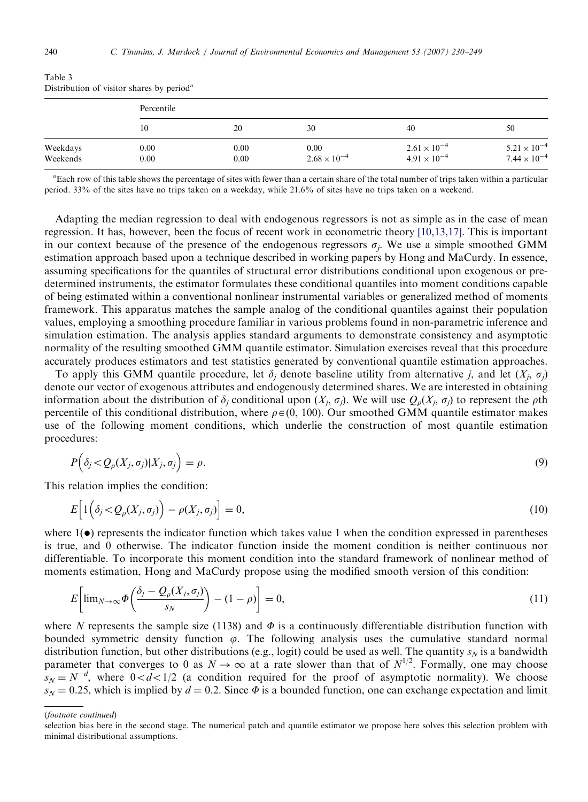| Distribution of visitor shares by period |              |              |                               |                                                |                                                |  |
|------------------------------------------|--------------|--------------|-------------------------------|------------------------------------------------|------------------------------------------------|--|
|                                          | Percentile   |              |                               |                                                |                                                |  |
|                                          | 10           | 20           | 30                            | 40                                             | 50                                             |  |
| Weekdays<br>Weekends                     | 0.00<br>0.00 | 0.00<br>0.00 | 0.00<br>$2.68 \times 10^{-4}$ | $2.61 \times 10^{-4}$<br>$4.91 \times 10^{-4}$ | $5.21 \times 10^{-4}$<br>$7.44 \times 10^{-4}$ |  |

<span id="page-10-0"></span>Table 3 Distribution of visitor shares by period<sup>a</sup>

<sup>a</sup> Each row of this table shows the percentage of sites with fewer than a certain share of the total number of trips taken within a particular period. 33% of the sites have no trips taken on a weekday, while 21.6% of sites have no trips taken on a weekend.

Adapting the median regression to deal with endogenous regressors is not as simple as in the case of mean regression. It has, however, been the focus of recent work in econometric theory [\[10,13,17\].](#page-18-0) This is important in our context because of the presence of the endogenous regressors  $\sigma_i$ . We use a simple smoothed GMM estimation approach based upon a technique described in working papers by Hong and MaCurdy. In essence, assuming specifications for the quantiles of structural error distributions conditional upon exogenous or predetermined instruments, the estimator formulates these conditional quantiles into moment conditions capable of being estimated within a conventional nonlinear instrumental variables or generalized method of moments framework. This apparatus matches the sample analog of the conditional quantiles against their population values, employing a smoothing procedure familiar in various problems found in non-parametric inference and simulation estimation. The analysis applies standard arguments to demonstrate consistency and asymptotic normality of the resulting smoothed GMM quantile estimator. Simulation exercises reveal that this procedure accurately produces estimators and test statistics generated by conventional quantile estimation approaches.

To apply this GMM quantile procedure, let  $\delta_i$  denote baseline utility from alternative j, and let  $(X_i, \sigma_i)$ denote our vector of exogenous attributes and endogenously determined shares. We are interested in obtaining information about the distribution of  $\delta_i$  conditional upon  $(X_i, \sigma_i)$ . We will use  $Q_o(X_i, \sigma_i)$  to represent the *p*th percentile of this conditional distribution, where  $\rho \in (0, 100)$ . Our smoothed GMM quantile estimator makes use of the following moment conditions, which underlie the construction of most quantile estimation procedures:

$$
P(\delta_j < Q_{\rho}(X_j, \sigma_j)|X_j, \sigma_j) = \rho.
$$
\n(9)

This relation implies the condition:

$$
E\left[1\left(\delta_j < Q_{\rho}(X_j, \sigma_j)\right) - \rho(X_j, \sigma_j)\right] = 0,\tag{10}
$$

where  $1(\bullet)$  represents the indicator function which takes value 1 when the condition expressed in parentheses is true, and 0 otherwise. The indicator function inside the moment condition is neither continuous nor differentiable. To incorporate this moment condition into the standard framework of nonlinear method of moments estimation, Hong and MaCurdy propose using the modified smooth version of this condition:

$$
E\left[\lim_{N\to\infty}\Phi\left(\frac{\delta_j-\mathcal{Q}_\rho(X_j,\sigma_j)}{s_N}\right)-(1-\rho)\right]=0,\tag{11}
$$

where N represents the sample size (1138) and  $\Phi$  is a continuously differentiable distribution function with bounded symmetric density function  $\varphi$ . The following analysis uses the cumulative standard normal distribution function, but other distributions (e.g., logit) could be used as well. The quantity  $s_N$  is a bandwidth parameter that converges to 0 as  $N \to \infty$  at a rate slower than that of  $N^{1/2}$ . Formally, one may choose  $s_N = N^{-d}$ , where  $0 < d < 1/2$  (a condition required for the proof of asymptotic normality). We choose  $s_N = 0.25$ , which is implied by  $d = 0.2$ . Since  $\Phi$  is a bounded function, one can exchange expectation and limit

(footnote continued)

selection bias here in the second stage. The numerical patch and quantile estimator we propose here solves this selection problem with minimal distributional assumptions.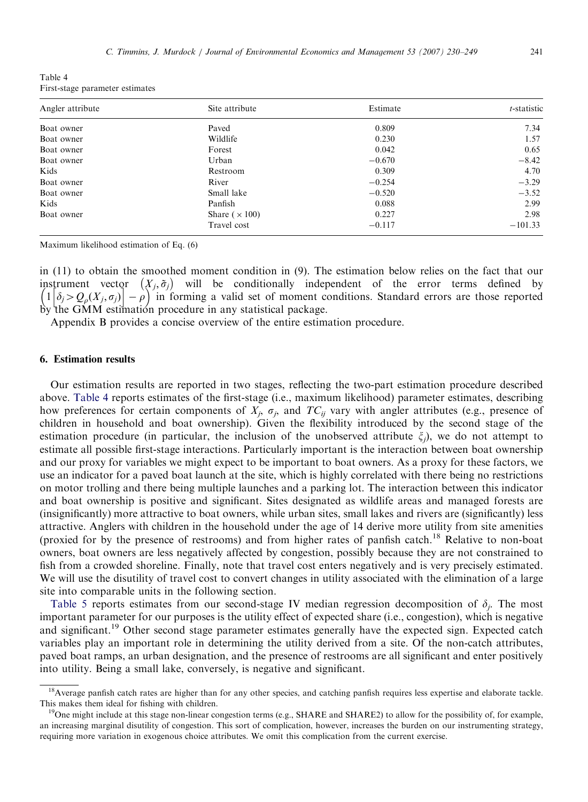<span id="page-11-0"></span>

| Table 4                         |  |  |
|---------------------------------|--|--|
| First-stage parameter estimates |  |  |

| Angler attribute | Site attribute        | Estimate | $t$ -statistic |
|------------------|-----------------------|----------|----------------|
| Boat owner       | Paved                 | 0.809    | 7.34           |
| Boat owner       | Wildlife              | 0.230    | 1.57           |
| Boat owner       | Forest                | 0.042    | 0.65           |
| Boat owner       | Urban                 | $-0.670$ | $-8.42$        |
| Kids             | Restroom              | 0.309    | 4.70           |
| Boat owner       | River                 | $-0.254$ | $-3.29$        |
| Boat owner       | Small lake            | $-0.520$ | $-3.52$        |
| Kids             | Panfish               | 0.088    | 2.99           |
| Boat owner       | Share ( $\times$ 100) | 0.227    | 2.98           |
|                  | Travel cost           | $-0.117$ | $-101.33$      |

Maximum likelihood estimation of Eq. (6)

in (11) to obtain the smoothed moment condition in (9). The estimation below relies on the fact that our instrument vector  $(X_j, \tilde{\sigma}_j)$  will be conditionally independent of the error terms defined by instrument vector  $(X_j, \sigma_j)$  will be conditionally independent of the error terms defined by  $(1|\delta_j > Q_\rho(X_j, \sigma_j)| - \rho)$  in forming a valid set of moment conditions. Standard errors are those reported by the GMM estimation procedure in any statistical package.

Appendix B provides a concise overview of the entire estimation procedure.

### 6. Estimation results

Our estimation results are reported in two stages, reflecting the two-part estimation procedure described above. Table 4 reports estimates of the first-stage (i.e., maximum likelihood) parameter estimates, describing how preferences for certain components of  $X_j$ ,  $\sigma_j$ , and  $TC_{ij}$  vary with angler attributes (e.g., presence of children in household and boat ownership). Given the flexibility introduced by the second stage of the estimation procedure (in particular, the inclusion of the unobserved attribute  $\xi_i$ ), we do not attempt to estimate all possible first-stage interactions. Particularly important is the interaction between boat ownership and our proxy for variables we might expect to be important to boat owners. As a proxy for these factors, we use an indicator for a paved boat launch at the site, which is highly correlated with there being no restrictions on motor trolling and there being multiple launches and a parking lot. The interaction between this indicator and boat ownership is positive and significant. Sites designated as wildlife areas and managed forests are (insignificantly) more attractive to boat owners, while urban sites, small lakes and rivers are (significantly) less attractive. Anglers with children in the household under the age of 14 derive more utility from site amenities (proxied for by the presence of restrooms) and from higher rates of panfish catch.<sup>18</sup> Relative to non-boat owners, boat owners are less negatively affected by congestion, possibly because they are not constrained to fish from a crowded shoreline. Finally, note that travel cost enters negatively and is very precisely estimated. We will use the disutility of travel cost to convert changes in utility associated with the elimination of a large site into comparable units in the following section.

[Table 5](#page-12-0) reports estimates from our second-stage IV median regression decomposition of  $\delta_i$ . The most important parameter for our purposes is the utility effect of expected share (i.e., congestion), which is negative and significant.<sup>19</sup> Other second stage parameter estimates generally have the expected sign. Expected catch variables play an important role in determining the utility derived from a site. Of the non-catch attributes, paved boat ramps, an urban designation, and the presence of restrooms are all significant and enter positively into utility. Being a small lake, conversely, is negative and significant.

<sup>&</sup>lt;sup>18</sup>Average panfish catch rates are higher than for any other species, and catching panfish requires less expertise and elaborate tackle. This makes them ideal for fishing with children.<br><sup>19</sup>One might include at this stage non-linear congestion terms (e.g., SHARE and SHARE2) to allow for the possibility of, for example,

an increasing marginal disutility of congestion. This sort of complication, however, increases the burden on our instrumenting strategy, requiring more variation in exogenous choice attributes. We omit this complication from the current exercise.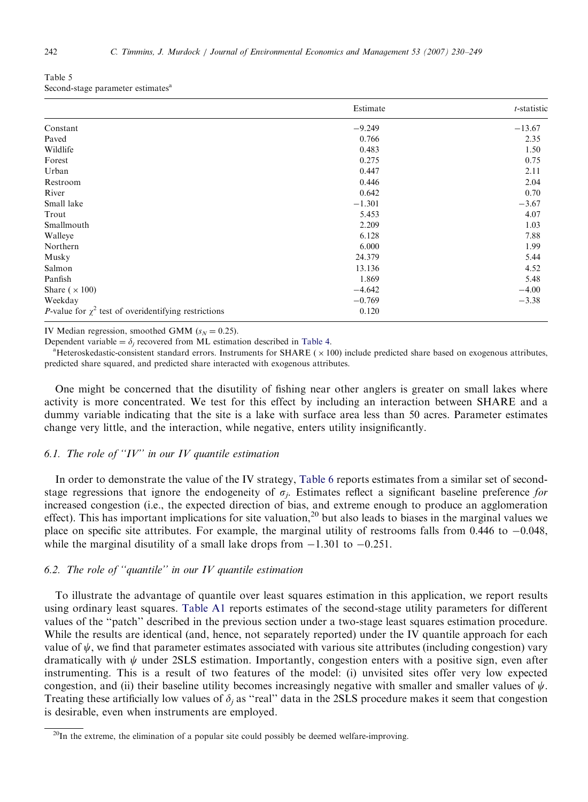| Table 5                                       |  |
|-----------------------------------------------|--|
| Second-stage parameter estimates <sup>a</sup> |  |

|                                                                   | Estimate | t-statistic |
|-------------------------------------------------------------------|----------|-------------|
| Constant                                                          | $-9.249$ | $-13.67$    |
| Paved                                                             | 0.766    | 2.35        |
| Wildlife                                                          | 0.483    | 1.50        |
| Forest                                                            | 0.275    | 0.75        |
| Urban                                                             | 0.447    | 2.11        |
| Restroom                                                          | 0.446    | 2.04        |
| River                                                             | 0.642    | 0.70        |
| Small lake                                                        | $-1.301$ | $-3.67$     |
| Trout                                                             | 5.453    | 4.07        |
| Smallmouth                                                        | 2.209    | 1.03        |
| Walleye                                                           | 6.128    | 7.88        |
| Northern                                                          | 6.000    | 1.99        |
| Musky                                                             | 24.379   | 5.44        |
| Salmon                                                            | 13.136   | 4.52        |
| Panfish                                                           | 1.869    | 5.48        |
| Share ( $\times$ 100)                                             | $-4.642$ | $-4.00$     |
| Weekday                                                           | $-0.769$ | $-3.38$     |
| <i>P</i> -value for $\chi^2$ test of overidentifying restrictions | 0.120    |             |

IV Median regression, smoothed GMM  $(s_N = 0.25)$ .

Dependent variable =  $\delta_i$  recovered from ML estimation described in [Table 4](#page-11-0).

Heteroskedastic-consistent standard errors. Instruments for  $SHARE$  ( $\times 100$ ) include predicted share based on exogenous attributes, predicted share squared, and predicted share interacted with exogenous attributes.

One might be concerned that the disutility of fishing near other anglers is greater on small lakes where activity is more concentrated. We test for this effect by including an interaction between SHARE and a dummy variable indicating that the site is a lake with surface area less than 50 acres. Parameter estimates change very little, and the interaction, while negative, enters utility insignificantly.

# 6.1. The role of "IV" in our IV quantile estimation

In order to demonstrate the value of the IV strategy, [Table 6](#page-13-0) reports estimates from a similar set of secondstage regressions that ignore the endogeneity of  $\sigma_i$ . Estimates reflect a significant baseline preference for increased congestion (i.e., the expected direction of bias, and extreme enough to produce an agglomeration effect). This has important implications for site valuation,<sup>20</sup> but also leads to biases in the marginal values we place on specific site attributes. For example, the marginal utility of restrooms falls from  $0.446$  to  $-0.048$ , while the marginal disutility of a small lake drops from  $-1.301$  to  $-0.251$ .

# 6.2. The role of "quantile" in our  $IV$  quantile estimation

To illustrate the advantage of quantile over least squares estimation in this application, we report results using ordinary least squares. [Table A1](#page-16-0) reports estimates of the second-stage utility parameters for different values of the ''patch'' described in the previous section under a two-stage least squares estimation procedure. While the results are identical (and, hence, not separately reported) under the IV quantile approach for each value of  $\psi$ , we find that parameter estimates associated with various site attributes (including congestion) vary dramatically with  $\psi$  under 2SLS estimation. Importantly, congestion enters with a positive sign, even after instrumenting. This is a result of two features of the model: (i) unvisited sites offer very low expected congestion, and (ii) their baseline utility becomes increasingly negative with smaller and smaller values of  $\psi$ . Treating these artificially low values of  $\delta_i$  as "real" data in the 2SLS procedure makes it seem that congestion is desirable, even when instruments are employed.

<span id="page-12-0"></span>

 $^{20}$ In the extreme, the elimination of a popular site could possibly be deemed welfare-improving.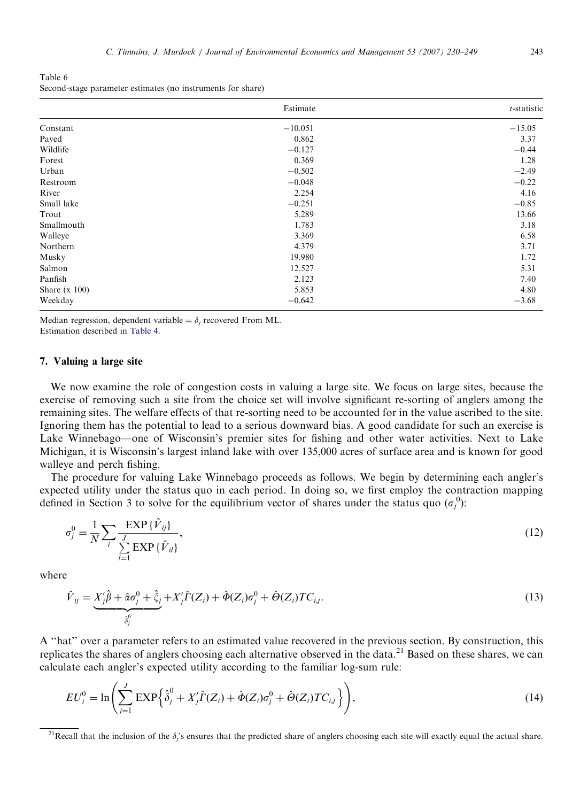<span id="page-13-0"></span>Table 6 Second-stage parameter estimates (no instruments for share)

|                 | Estimate  | t-statistic |
|-----------------|-----------|-------------|
| Constant        | $-10.051$ | $-15.05$    |
| Paved           | 0.862     | 3.37        |
| Wildlife        | $-0.127$  | $-0.44$     |
| Forest          | 0.369     | 1.28        |
| Urban           | $-0.502$  | $-2.49$     |
| Restroom        | $-0.048$  | $-0.22$     |
| River           | 2.254     | 4.16        |
| Small lake      | $-0.251$  | $-0.85$     |
| Trout           | 5.289     | 13.66       |
| Smallmouth      | 1.783     | 3.18        |
| Walleye         | 3.369     | 6.58        |
| Northern        | 4.379     | 3.71        |
| Musky           | 19.980    | 1.72        |
| Salmon          | 12.527    | 5.31        |
| Panfish         | 2.123     | 7.40        |
| Share $(x 100)$ | 5.853     | 4.80        |
| Weekday         | $-0.642$  | $-3.68$     |

Median regression, dependent variable =  $\delta_i$  recovered From ML.

Estimation described in [Table 4](#page-11-0).

# 7. Valuing a large site

We now examine the role of congestion costs in valuing a large site. We focus on large sites, because the exercise of removing such a site from the choice set will involve significant re-sorting of anglers among the remaining sites. The welfare effects of that re-sorting need to be accounted for in the value ascribed to the site. Ignoring them has the potential to lead to a serious downward bias. A good candidate for such an exercise is Lake Winnebago—one of Wisconsin's premier sites for fishing and other water activities. Next to Lake Michigan, it is Wisconsin's largest inland lake with over 135,000 acres of surface area and is known for good walleye and perch fishing.

The procedure for valuing Lake Winnebago proceeds as follows. We begin by determining each angler's expected utility under the status quo in each period. In doing so, we first employ the contraction mapping defined in Section 3 to solve for the equilibrium vector of shares under the status quo  $(\sigma_j^0)$ :

$$
\sigma_j^0 = \frac{1}{N} \sum_i \frac{\text{EXP}\{\hat{V}_{ij}\}}{\sum_{l=1}^J \text{EXP}\{\hat{V}_{il}\}},\tag{12}
$$

where

$$
\hat{V}_{ij} = \underbrace{X'_{j}\hat{\beta} + \hat{\alpha}\sigma_{j}^{0} + \hat{\xi}_{j}}_{\hat{\delta}_{j}^{0}} + X'_{j}\hat{\Gamma}(Z_{i}) + \hat{\Phi}(Z_{i})\sigma_{j}^{0} + \hat{\Theta}(Z_{i})TC_{i,j}.
$$
\n(13)

A ''hat'' over a parameter refers to an estimated value recovered in the previous section. By construction, this replicates the shares of anglers choosing each alternative observed in the data.<sup>21</sup> Based on these shares, we can calculate each angler's expected utility according to the familiar log-sum rule:

$$
EU_i^0 = \ln\left(\sum_{j=1}^J \text{EXP}\left\{\hat{\delta}_j^0 + X_j'\hat{\Gamma}(Z_i) + \hat{\Phi}(Z_i)\sigma_j^0 + \hat{\Theta}(Z_i)TC_{i,j}\right\}\right),\tag{14}
$$

<sup>&</sup>lt;sup>21</sup>Recall that the inclusion of the  $\delta_i$ 's ensures that the predicted share of anglers choosing each site will exactly equal the actual share.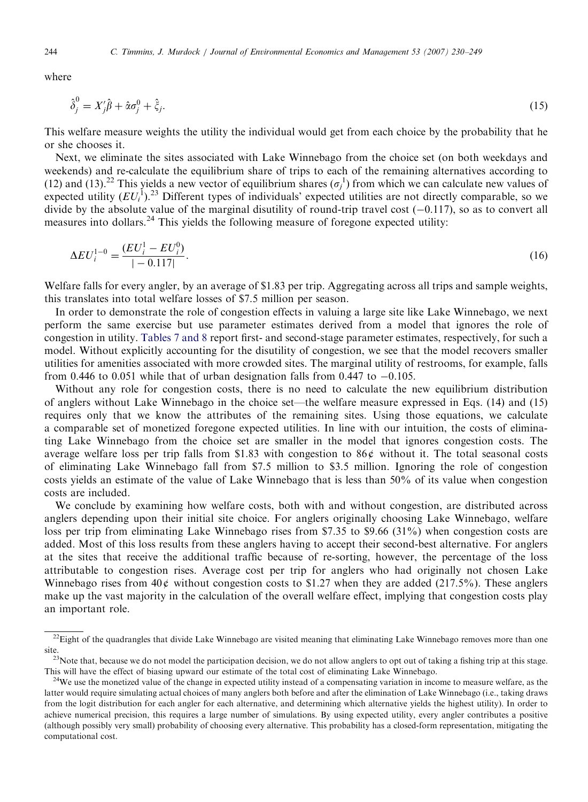where

$$
\hat{\delta}_j^0 = X_j' \hat{\beta} + \hat{\alpha} \sigma_j^0 + \hat{\xi}_j. \tag{15}
$$

This welfare measure weights the utility the individual would get from each choice by the probability that he or she chooses it.

Next, we eliminate the sites associated with Lake Winnebago from the choice set (on both weekdays and weekends) and re-calculate the equilibrium share of trips to each of the remaining alternatives according to (12) and (13).<sup>22</sup> This yields a new vector of equilibrium shares  $(\sigma_j^1)$  from which we can calculate new values of expected utility  $(EU_i^{\{1\}})^{23}$  Different types of individuals' expected utilities are not directly comparable, so we divide by the absolute value of the marginal disutility of round-trip travel cost  $(-0.117)$ , so as to convert all measures into dollars.<sup>24</sup> This yields the following measure of foregone expected utility:

$$
\Delta EU_i^{1-0} = \frac{(EU_i^1 - EU_i^0)}{|-0.117|}.
$$
\n(16)

Welfare falls for every angler, by an average of \$1.83 per trip. Aggregating across all trips and sample weights, this translates into total welfare losses of \$7.5 million per season.

In order to demonstrate the role of congestion effects in valuing a large site like Lake Winnebago, we next perform the same exercise but use parameter estimates derived from a model that ignores the role of congestion in utility. [Tables 7 and 8](#page-15-0) report first- and second-stage parameter estimates, respectively, for such a model. Without explicitly accounting for the disutility of congestion, we see that the model recovers smaller utilities for amenities associated with more crowded sites. The marginal utility of restrooms, for example, falls from 0.446 to 0.051 while that of urban designation falls from 0.447 to  $-0.105$ .

Without any role for congestion costs, there is no need to calculate the new equilibrium distribution of anglers without Lake Winnebago in the choice set—the welfare measure expressed in Eqs. (14) and (15) requires only that we know the attributes of the remaining sites. Using those equations, we calculate a comparable set of monetized foregone expected utilities. In line with our intuition, the costs of eliminating Lake Winnebago from the choice set are smaller in the model that ignores congestion costs. The average welfare loss per trip falls from \$1.83 with congestion to  $86¢$  without it. The total seasonal costs of eliminating Lake Winnebago fall from \$7.5 million to \$3.5 million. Ignoring the role of congestion costs yields an estimate of the value of Lake Winnebago that is less than 50% of its value when congestion costs are included.

We conclude by examining how welfare costs, both with and without congestion, are distributed across anglers depending upon their initial site choice. For anglers originally choosing Lake Winnebago, welfare loss per trip from eliminating Lake Winnebago rises from \$7.35 to \$9.66 (31%) when congestion costs are added. Most of this loss results from these anglers having to accept their second-best alternative. For anglers at the sites that receive the additional traffic because of re-sorting, however, the percentage of the loss attributable to congestion rises. Average cost per trip for anglers who had originally not chosen Lake Winnebago rises from  $40¢$  without congestion costs to \$1.27 when they are added (217.5%). These anglers make up the vast majority in the calculation of the overall welfare effect, implying that congestion costs play an important role.

<sup>&</sup>lt;sup>22</sup>Eight of the quadrangles that divide Lake Winnebago are visited meaning that eliminating Lake Winnebago removes more than one site.

 $^{23}$ Note that, because we do not model the participation decision, we do not allow anglers to opt out of taking a fishing trip at this stage. This will have the effect of biasing upward our estimate of the total cost of eliminating Lake Winnebago.<br><sup>24</sup>We use the monetized value of the change in expected utility instead of a compensating variation in income to me

latter would require simulating actual choices of many anglers both before and after the elimination of Lake Winnebago (i.e., taking draws from the logit distribution for each angler for each alternative, and determining which alternative yields the highest utility). In order to achieve numerical precision, this requires a large number of simulations. By using expected utility, every angler contributes a positive (although possibly very small) probability of choosing every alternative. This probability has a closed-form representation, mitigating the computational cost.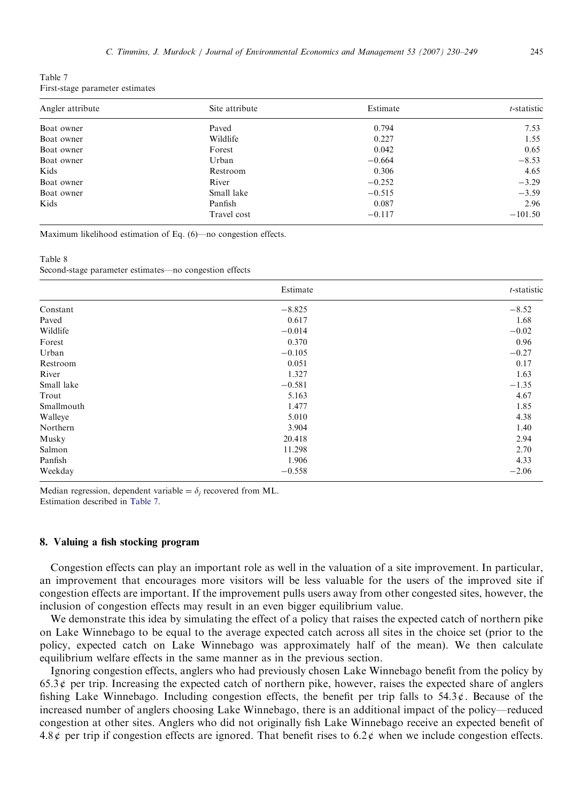<span id="page-15-0"></span>

| Table 7                         |  |
|---------------------------------|--|
| First-stage parameter estimates |  |

| Angler attribute | Site attribute | Estimate | $t$ -statistic |
|------------------|----------------|----------|----------------|
| Boat owner       | Paved          | 0.794    | 7.53           |
| Boat owner       | Wildlife       | 0.227    | 1.55           |
| Boat owner       | Forest         | 0.042    | 0.65           |
| Boat owner       | Urban          | $-0.664$ | $-8.53$        |
| Kids             | Restroom       | 0.306    | 4.65           |
| Boat owner       | River          | $-0.252$ | $-3.29$        |
| Boat owner       | Small lake     | $-0.515$ | $-3.59$        |
| Kids             | Panfish        | 0.087    | 2.96           |
|                  | Travel cost    | $-0.117$ | $-101.50$      |

Maximum likelihood estimation of Eq. (6)—no congestion effects.

Table 8

Second-stage parameter estimates—no congestion effects

|            | Estimate | $t$ -statistic |
|------------|----------|----------------|
| Constant   | $-8.825$ | $-8.52$        |
| Paved      | 0.617    | 1.68           |
| Wildlife   | $-0.014$ | $-0.02$        |
| Forest     | 0.370    | 0.96           |
| Urban      | $-0.105$ | $-0.27$        |
| Restroom   | 0.051    | 0.17           |
| River      | 1.327    | 1.63           |
| Small lake | $-0.581$ | $-1.35$        |
| Trout      | 5.163    | 4.67           |
| Smallmouth | 1.477    | 1.85           |
| Walleye    | 5.010    | 4.38           |
| Northern   | 3.904    | 1.40           |
| Musky      | 20.418   | 2.94           |
| Salmon     | 11.298   | 2.70           |
| Panfish    | 1.906    | 4.33           |
| Weekday    | $-0.558$ | $-2.06$        |

Median regression, dependent variable  $= \delta_i$  recovered from ML. Estimation described in Table 7.

### 8. Valuing a fish stocking program

Congestion effects can play an important role as well in the valuation of a site improvement. In particular, an improvement that encourages more visitors will be less valuable for the users of the improved site if congestion effects are important. If the improvement pulls users away from other congested sites, however, the inclusion of congestion effects may result in an even bigger equilibrium value.

We demonstrate this idea by simulating the effect of a policy that raises the expected catch of northern pike on Lake Winnebago to be equal to the average expected catch across all sites in the choice set (prior to the policy, expected catch on Lake Winnebago was approximately half of the mean). We then calculate equilibrium welfare effects in the same manner as in the previous section.

Ignoring congestion effects, anglers who had previously chosen Lake Winnebago benefit from the policy by 65.3 $\phi$  per trip. Increasing the expected catch of northern pike, however, raises the expected share of anglers fishing Lake Winnebago. Including congestion effects, the benefit per trip falls to  $54.3\,\text{¢}$ . Because of the increased number of anglers choosing Lake Winnebago, there is an additional impact of the policy—reduced congestion at other sites. Anglers who did not originally fish Lake Winnebago receive an expected benefit of 4.8 $\phi$  per trip if congestion effects are ignored. That benefit rises to 6.2 $\phi$  when we include congestion effects.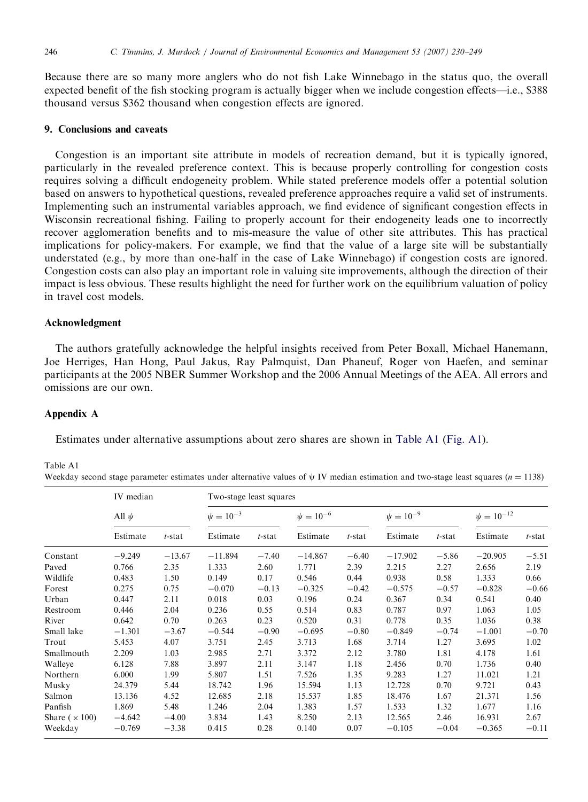<span id="page-16-0"></span>Because there are so many more anglers who do not fish Lake Winnebago in the status quo, the overall expected benefit of the fish stocking program is actually bigger when we include congestion effects—i.e., \$388 thousand versus \$362 thousand when congestion effects are ignored.

# 9. Conclusions and caveats

Congestion is an important site attribute in models of recreation demand, but it is typically ignored, particularly in the revealed preference context. This is because properly controlling for congestion costs requires solving a difficult endogeneity problem. While stated preference models offer a potential solution based on answers to hypothetical questions, revealed preference approaches require a valid set of instruments. Implementing such an instrumental variables approach, we find evidence of significant congestion effects in Wisconsin recreational fishing. Failing to properly account for their endogeneity leads one to incorrectly recover agglomeration benefits and to mis-measure the value of other site attributes. This has practical implications for policy-makers. For example, we find that the value of a large site will be substantially understated (e.g., by more than one-half in the case of Lake Winnebago) if congestion costs are ignored. Congestion costs can also play an important role in valuing site improvements, although the direction of their impact is less obvious. These results highlight the need for further work on the equilibrium valuation of policy in travel cost models.

# Acknowledgment

The authors gratefully acknowledge the helpful insights received from Peter Boxall, Michael Hanemann, Joe Herriges, Han Hong, Paul Jakus, Ray Palmquist, Dan Phaneuf, Roger von Haefen, and seminar participants at the 2005 NBER Summer Workshop and the 2006 Annual Meetings of the AEA. All errors and omissions are our own.

#### Appendix A

Estimates under alternative assumptions about zero shares are shown in Table A1 ([Fig. A1\)](#page-17-0).

#### Table A1

Weekday second stage parameter estimates under alternative values of  $\psi$  IV median estimation and two-stage least squares (n = 1138)

|                       | IV median<br>All $\psi$ |           | Two-stage least squares |           |                  |           |                  |           |                   |           |
|-----------------------|-------------------------|-----------|-------------------------|-----------|------------------|-----------|------------------|-----------|-------------------|-----------|
|                       |                         |           | $\psi = 10^{-3}$        |           | $\psi = 10^{-6}$ |           | $\psi = 10^{-9}$ |           | $\psi = 10^{-12}$ |           |
|                       | Estimate                | $t$ -stat | Estimate                | $t$ -stat | Estimate         | $t$ -stat | Estimate         | $t$ -stat | Estimate          | $t$ -stat |
| Constant              | $-9.249$                | $-13.67$  | $-11.894$               | $-7.40$   | $-14.867$        | $-6.40$   | $-17.902$        | $-5.86$   | $-20.905$         | $-5.51$   |
| Paved                 | 0.766                   | 2.35      | 1.333                   | 2.60      | 1.771            | 2.39      | 2.215            | 2.27      | 2.656             | 2.19      |
| Wildlife              | 0.483                   | 1.50      | 0.149                   | 0.17      | 0.546            | 0.44      | 0.938            | 0.58      | 1.333             | 0.66      |
| Forest                | 0.275                   | 0.75      | $-0.070$                | $-0.13$   | $-0.325$         | $-0.42$   | $-0.575$         | $-0.57$   | $-0.828$          | $-0.66$   |
| Urban                 | 0.447                   | 2.11      | 0.018                   | 0.03      | 0.196            | 0.24      | 0.367            | 0.34      | 0.541             | 0.40      |
| Restroom              | 0.446                   | 2.04      | 0.236                   | 0.55      | 0.514            | 0.83      | 0.787            | 0.97      | 1.063             | 1.05      |
| River                 | 0.642                   | 0.70      | 0.263                   | 0.23      | 0.520            | 0.31      | 0.778            | 0.35      | 1.036             | 0.38      |
| Small lake            | $-1.301$                | $-3.67$   | $-0.544$                | $-0.90$   | $-0.695$         | $-0.80$   | $-0.849$         | $-0.74$   | $-1.001$          | $-0.70$   |
| Trout                 | 5.453                   | 4.07      | 3.751                   | 2.45      | 3.713            | 1.68      | 3.714            | 1.27      | 3.695             | 1.02      |
| Smallmouth            | 2.209                   | 1.03      | 2.985                   | 2.71      | 3.372            | 2.12      | 3.780            | 1.81      | 4.178             | 1.61      |
| Walleye               | 6.128                   | 7.88      | 3.897                   | 2.11      | 3.147            | 1.18      | 2.456            | 0.70      | 1.736             | 0.40      |
| Northern              | 6.000                   | 1.99      | 5.807                   | 1.51      | 7.526            | 1.35      | 9.283            | 1.27      | 11.021            | 1.21      |
| Musky                 | 24.379                  | 5.44      | 18.742                  | 1.96      | 15.594           | 1.13      | 12.728           | 0.70      | 9.721             | 0.43      |
| Salmon                | 13.136                  | 4.52      | 12.685                  | 2.18      | 15.537           | 1.85      | 18.476           | 1.67      | 21.371            | 1.56      |
| Panfish               | 1.869                   | 5.48      | 1.246                   | 2.04      | 1.383            | 1.57      | 1.533            | 1.32      | 1.677             | 1.16      |
| Share ( $\times$ 100) | $-4.642$                | $-4.00$   | 3.834                   | 1.43      | 8.250            | 2.13      | 12.565           | 2.46      | 16.931            | 2.67      |
| Weekday               | $-0.769$                | $-3.38$   | 0.415                   | 0.28      | 0.140            | 0.07      | $-0.105$         | $-0.04$   | $-0.365$          | $-0.11$   |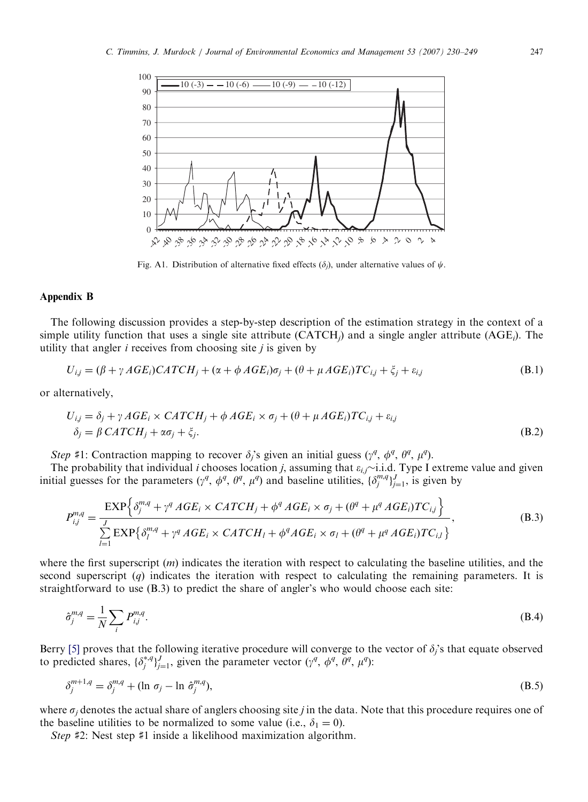<span id="page-17-0"></span>

Fig. A1. Distribution of alternative fixed effects  $(\delta_i)$ , under alternative values of  $\psi$ .

## Appendix B

The following discussion provides a step-by-step description of the estimation strategy in the context of a simple utility function that uses a single site attribute  $(CATCH<sub>i</sub>)$  and a single angler attribute  $(AGE<sub>i</sub>)$ . The utility that angler  $i$  receives from choosing site  $j$  is given by

$$
U_{ij} = (\beta + \gamma AGE_i)CATCH_j + (\alpha + \phi AGE_i)\sigma_j + (\theta + \mu AGE_i)TC_{ij} + \xi_j + \varepsilon_{i,j}
$$
(B.1)

or alternatively,

$$
U_{ij} = \delta_j + \gamma AGE_i \times CATCH_j + \phi AGE_i \times \sigma_j + (\theta + \mu AGE_i)TC_{ij} + \varepsilon_{ij}
$$
  
\n
$$
\delta_j = \beta CATCH_j + \alpha \sigma_j + \xi_j.
$$
 (B.2)

Step #1: Contraction mapping to recover  $\delta_j$ 's given an initial guess ( $\gamma^q$ ,  $\phi^q$ ,  $\theta^q$ ,  $\mu^q$ ).

The probability that individual i chooses location j, assuming that  $\varepsilon_i \sim$  i.i.d. Type I extreme value and given initial guesses for the parameters  $(\gamma^q, \phi^q, \theta^q, \mu^q)$  and baseline utilities,  $\{\delta_j^{m,q}\}_{j=1}^J$ , is given by

$$
P_{i,j}^{m,q} = \frac{\text{EXP}\left\{\delta_j^{m,q} + \gamma^q AGE_i \times CATCH_j + \phi^q AGE_i \times \sigma_j + (\theta^q + \mu^q AGE_i)TC_{i,j}\right\}}{\sum\limits_{l=1}^{J} \text{EXP}\left\{\delta_l^{m,q} + \gamma^q AGE_i \times CATCH_l + \phi^q AGE_i \times \sigma_l + (\theta^q + \mu^q AGE_i)TC_{i,l}\right\}},
$$
(B.3)

where the first superscript  $(m)$  indicates the iteration with respect to calculating the baseline utilities, and the second superscript  $(q)$  indicates the iteration with respect to calculating the remaining parameters. It is straightforward to use (B.3) to predict the share of angler's who would choose each site:

$$
\hat{\sigma}_j^{m,q} = \frac{1}{N} \sum_i P_{i,j}^{m,q}.\tag{B.4}
$$

Berry [\[5\]](#page-18-0) proves that the following iterative procedure will converge to the vector of  $\delta_i$ 's that equate observed to predicted shares,  $\{\delta_j^{*,q}\}_{j=1}^J$ , given the parameter vector  $(\gamma^q, \phi^q, \bar{\theta}^q, \mu^q)$ :

$$
\delta_j^{m+1,q} = \delta_j^{m,q} + (\ln \sigma_j - \ln \hat{\sigma}_j^{m,q}),\tag{B.5}
$$

where  $\sigma_i$  denotes the actual share of anglers choosing site j in the data. Note that this procedure requires one of the baseline utilities to be normalized to some value (i.e.,  $\delta_1 = 0$ ).

Step #2: Nest step #1 inside a likelihood maximization algorithm.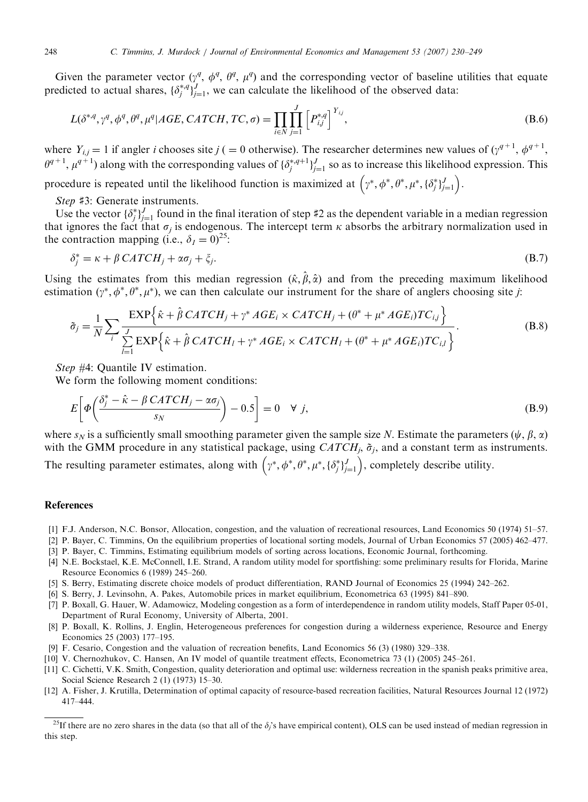<span id="page-18-0"></span>Given the parameter vector  $(\gamma^q, \phi^q, \theta^q, \mu^q)$  and the corresponding vector of baseline utilities that equate predicted to actual shares,  $\{\delta_j^{*,q}\}_{j=1}^J$ , we can calculate the likelihood of the observed data:

$$
L(\delta^{*,q}, \gamma^q, \phi^q, \theta^q, \mu^q | AGE, CATCH, TC, \sigma) = \prod_{i \in N} \prod_{j=1}^J \left[ P_{i,j}^{*,q} \right]^{Y_{i,j}},
$$
\n(B.6)

where  $Y_{i,j} = 1$  if angler *i* chooses site  $j$  ( = 0 otherwise). The researcher determines new values of  $(\gamma^{q+1}, \phi^{q+1}, \phi^{q+1})$  $\theta^{q+1}$ ,  $\mu^{q+1}$ ) along with the corresponding values of  $\{\delta_j^{*,q+1}\}_{j=1}^J$  so as to increase this likelihood expression. This

procedure is repeated until the likelihood function is maximized at  $(\gamma^*, \phi^*, \theta^*, \mu^*, \{\delta_j^*\}_{j=1}^J)$ .

Step #3: Generate instruments.

Use the vector  $\{\delta_j^*\}_{j=1}^J$  found in the final iteration of step #2 as the dependent variable in a median regression that ignores the fact that  $\sigma_i$  is endogenous. The intercept term  $\kappa$  absorbs the arbitrary normalization used in the contraction mapping (i.e.,  $\delta_1 = 0$ )<sup>25</sup>:

$$
\delta_j^* = \kappa + \beta \, CATCH_j + \alpha \sigma_j + \xi_j. \tag{B.7}
$$

Using the estimates from this median regression  $(\hat{\kappa}, \hat{\beta}, \hat{\alpha})$  and from the preceding maximum likelihood estimation  $(y^*, \phi^*, \theta^*, \mu^*)$ , we can then calculate our instrument for the share of anglers choosing site j:

$$
\tilde{\sigma}_j = \frac{1}{N} \sum_i \frac{\text{EXP}\left\{\hat{\kappa} + \hat{\beta} \, \text{CATCH}_j + \gamma^* \, \text{AGE}_i \times \text{CATCH}_j + (\theta^* + \mu^* \, \text{AGE}_i) T C_{ij}\right\}}{\sum_{l=1}^J \text{EXP}\left\{\hat{\kappa} + \hat{\beta} \, \text{CATCH}_l + \gamma^* \, \text{AGE}_i \times \text{CATCH}_l + (\theta^* + \mu^* \, \text{AGE}_i) T C_{i,l}\right\}}.
$$
\n(B.8)

Step #4: Quantile IV estimation.

We form the following moment conditions:

$$
E\left[\Phi\left(\frac{\delta_j^* - \hat{\kappa} - \beta \, CATCH_j - \alpha \sigma_j}{s_N}\right) - 0.5\right] = 0 \quad \forall j,
$$
\n(B.9)

where  $s_N$  is a sufficiently small smoothing parameter given the sample size N. Estimate the parameters ( $\psi$ ,  $\beta$ ,  $\alpha$ ) with the GMM procedure in any statistical package, using  $CATCH_i$ ,  $\tilde{\sigma}_i$ , and a constant term as instruments. The resulting parameter estimates, along with  $(\gamma^*, \phi^*, \theta^*, \mu^*, {\delta_j^*}_{j=1}^J)$ , completely describe utility.

### References

- [1] F.J. Anderson, N.C. Bonsor, Allocation, congestion, and the valuation of recreational resources, Land Economics 50 (1974) 51–57.
- [2] P. Bayer, C. Timmins, On the equilibrium properties of locational sorting models, Journal of Urban Economics 57 (2005) 462–477.
- [3] P. Bayer, C. Timmins, Estimating equilibrium models of sorting across locations, Economic Journal, forthcoming.
- [4] N.E. Bockstael, K.E. McConnell, I.E. Strand, A random utility model for sportfishing: some preliminary results for Florida, Marine Resource Economics 6 (1989) 245–260.
- [5] S. Berry, Estimating discrete choice models of product differentiation, RAND Journal of Economics 25 (1994) 242–262.
- [6] S. Berry, J. Levinsohn, A. Pakes, Automobile prices in market equilibrium, Econometrica 63 (1995) 841–890.
- [7] P. Boxall, G. Hauer, W. Adamowicz, Modeling congestion as a form of interdependence in random utility models, Staff Paper 05-01, Department of Rural Economy, University of Alberta, 2001.
- [8] P. Boxall, K. Rollins, J. Englin, Heterogeneous preferences for congestion during a wilderness experience, Resource and Energy Economics 25 (2003) 177–195.
- [9] F. Cesario, Congestion and the valuation of recreation benefits, Land Economics 56 (3) (1980) 329–338.
- [10] V. Chernozhukov, C. Hansen, An IV model of quantile treatment effects, Econometrica 73 (1) (2005) 245–261.
- [11] C. Cichetti, V.K. Smith, Congestion, quality deterioration and optimal use: wilderness recreation in the spanish peaks primitive area, Social Science Research 2 (1) (1973) 15–30.
- [12] A. Fisher, J. Krutilla, Determination of optimal capacity of resource-based recreation facilities, Natural Resources Journal 12 (1972) 417–444.

<sup>&</sup>lt;sup>25</sup>If there are no zero shares in the data (so that all of the  $\delta_i$ 's have empirical content), OLS can be used instead of median regression in this step.